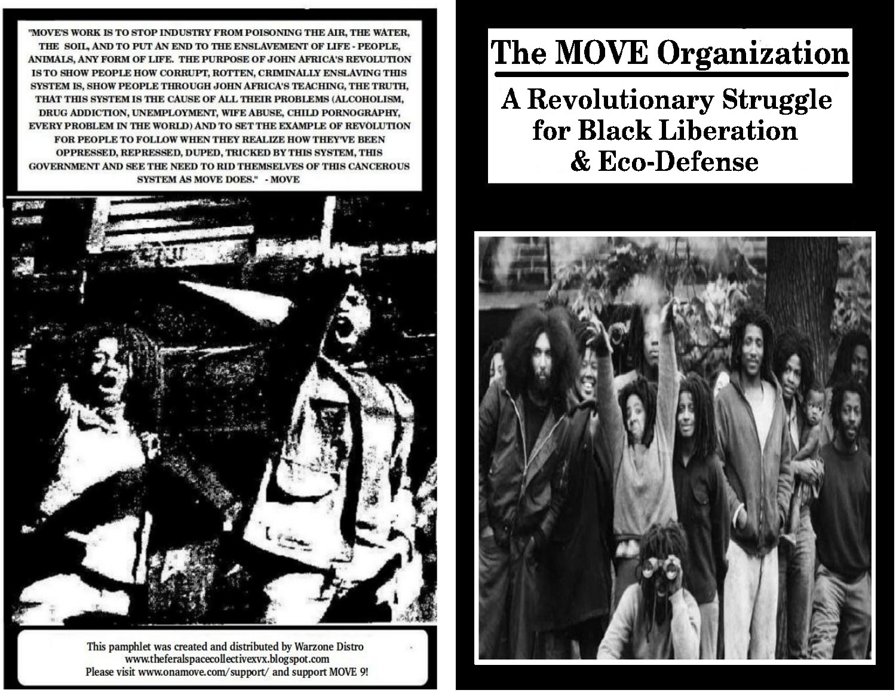"MOVE'S WORK IS TO STOP INDUSTRY FROM POISONING THE AIR, THE WATER, THE SOIL, AND TO PUT AN END TO THE ENSLAVEMENT OF LIFE - PEOPLE, ANIMALS, ANY FORM OF LIFE. THE PURPOSE OF JOHN AFRICA'S REVOLUTION IS TO SHOW PEOPLE HOW CORRUPT, ROTTEN, CRIMINALLY ENSLAVING THIS SYSTEM IS, SHOW PEOPLE THROUGH JOHN AFRICA'S TEACHING, THE TRUTH, THAT THIS SYSTEM IS THE CAUSE OF ALL THEIR PROBLEMS (ALCOHOLISM, DRUG ADDICTION, UNEMPLOYMENT, WIFE ABUSE, CHILD PORNOGRAPHY, EVERY PROBLEM IN THE WORLD) AND TO SET THE EXAMPLE OF REVOLUTION FOR PEOPLE TO FOLLOW WHEN THEY REALIZE HOW THEY'VE BEEN OPPRESSED, REPRESSED, DUPED, TRICKED BY THIS SYSTEM, THIS GOVERNMENT AND SEE THE NEED TO RID THEMSELVES OF THIS CANCEROUS **SYSTEM AS MOVE DOES." - MOVE** 



This pamphlet was created and distributed by Warzone Distro www.theferalspacecollectivexvx.blogspot.com Please visit www.onamove.com/support/ and support MOVE 9!

# **The MOVE Organization**

**A Revolutionary Struggle** for Black Liberation & Eco-Defense

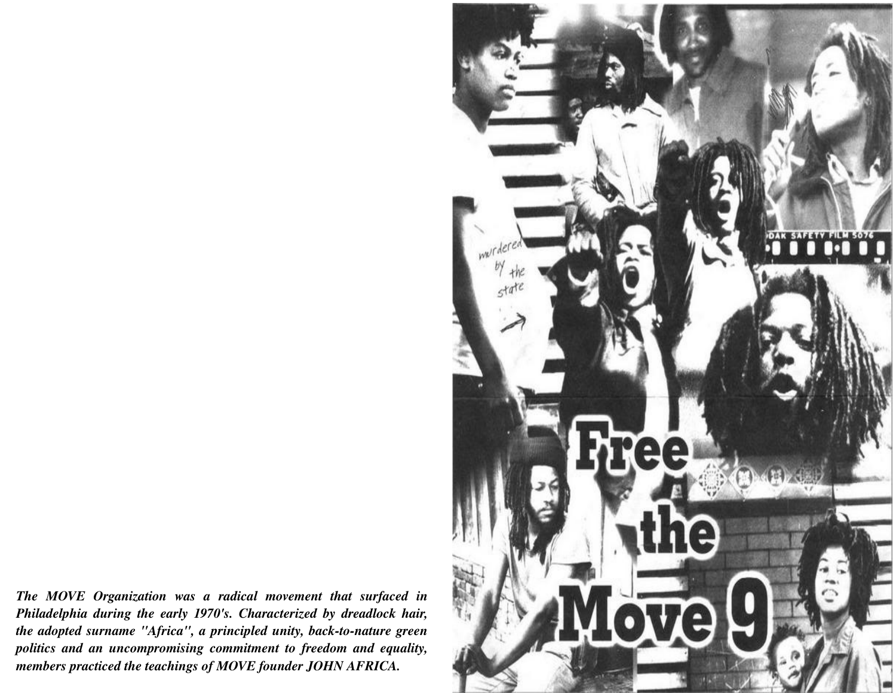*The MOVE Organization was a radical movement that surfaced in Philadelphia during the early 1970's. Characterized by dreadlock hair, the adopted surname "Africa", a principled unity, back-to-nature green politics and an uncompromising commitment to freedom and equality, members practiced the teachings of MOVE founder JOHN AFRICA.*

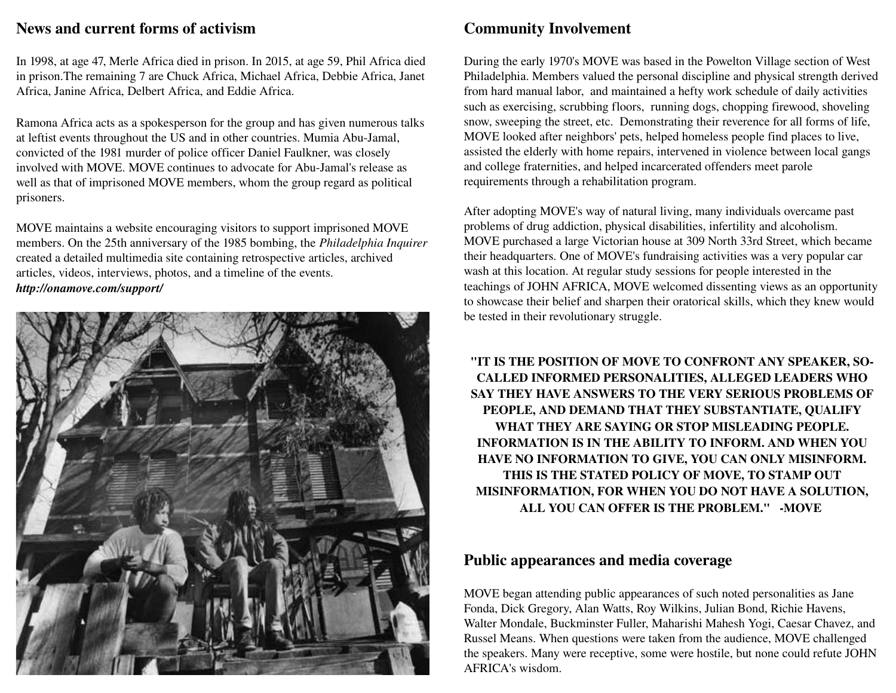#### News and current forms of activism

In 1998, at age 47, Merle Africa died in prison. In 2015, at age 59, Phil Africa died in prison.The remaining 7 are Chuck Africa, Michael Africa, Debbie Africa, Janet Africa, Janine Africa, Delbert Africa, and Eddie Africa.

Ramona Africa acts as a spokesperson for the group and has given numerous talks at leftist events throughout the US and in other countries. Mumia Abu-Jamal, convicted of the 1981 murder of police officer Daniel Faulkner, was closely involved with MOVE. MOVE continues to advocate for Abu-Jamal's release as well as that of imprisoned MOVE members, whom the group regard as political prisoners.

MOVE maintains a website encouraging visitors to support imprisoned MOVE members. On the 25th anniversary of the 1985 bombing, the *Philadelphia Inquirer* created a detailed multimedia site containing retrospective articles, archived articles, videos, interviews, photos, and a timeline of the events. *http://onamove.com/support/*



## Community Involvement

During the early 1970's MOVE was based in the Powelton Village section of West Philadelphia. Members valued the personal discipline and physical strength derived from hard manual labor, and maintained a hefty work schedule of daily activities such as exercising, scrubbing floors, running dogs, chopping firewood, shoveling snow, sweeping the street, etc. Demonstrating their reverence for all forms of life, MOVE looked after neighbors' pets, helped homeless people find places to live, assisted the elderly with home repairs, intervened in violence between local gangs and college fraternities, and helped incarcerated offenders meet parole requirements through a rehabilitation program.

After adopting MOVE's way of natural living, many individuals overcame past problems of drug addiction, physical disabilities, infertility and alcoholism. MOVE purchased a large Victorian house at 309 North 33rd Street, which became their headquarters. One of MOVE's fundraising activities was a very popular car wash at this location. At regular study sessions for people interested in the teachings of JOHN AFRICA, MOVE welcomed dissenting views as an opportunity to showcase their belief and sharpen their oratorical skills, which they knew would be tested in their revolutionary struggle.

"IT IS THE POSITION OF MOVE TO CONFRONT ANY SPEAKER, SO-CALLED INFORMED PERSONALITIES, ALLEGED LEADERS WHO SAY THEY HAVE ANSWERS TO THE VERY SERIOUS PROBLEMS OF PEOPLE, AND DEMAND THAT THEY SUBSTANTIATE, QUALIFY WHAT THEY ARE SAYING OR STOP MISLEADING PEOPLE. INFORMATION IS IN THE ABILITY TO INFORM. AND WHEN YOU HAVE NO INFORMATION TO GIVE, YOU CAN ONLY MISINFORM. THIS IS THE STATED POLICY OF MOVE, TO STAMP OUT MISINFORMATION, FOR WHEN YOU DO NOT HAVE A SOLUTION, ALL YOU CAN OFFER IS THE PROBLEM." -MOVE

## Public appearances and media coverage

MOVE began attending public appearances of such noted personalities as Jane Fonda, Dick Gregory, Alan Watts, Roy Wilkins, Julian Bond, Richie Havens, Walter Mondale, Buckminster Fuller, Maharishi Mahesh Yogi, Caesar Chavez, and Russel Means. When questions were taken from the audience, MOVE challenged the speakers. Many were receptive, some were hostile, but none could refute JOHN AFRICA's wisdom.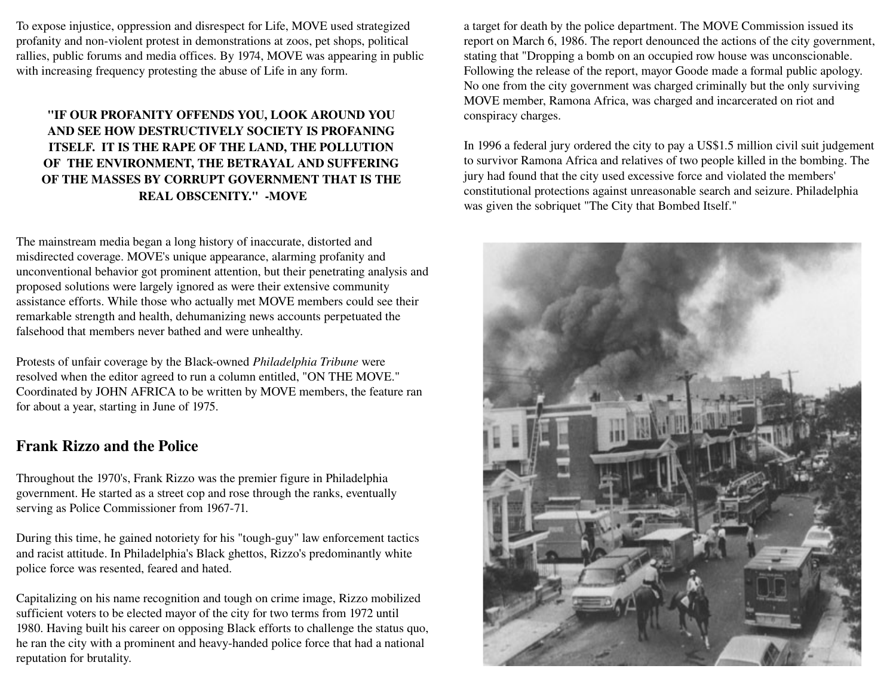To expose injustice, oppression and disrespect for Life, MOVE used strategized profanity and non-violent protest in demonstrations at zoos, pet shops, political rallies, public forums and media offices. By 1974, MOVE was appearing in public with increasing frequency protesting the abuse of Life in any form.

#### "IF OUR PROFANITY OFFENDS YOU, LOOK AROUND YOU AND SEE HOW DESTRUCTIVELY SOCIETY IS PROFANING ITSELF. IT IS THE RAPE OF THE LAND, THE POLLUTION OF THE ENVIRONMENT, THE BETRAYAL AND SUFFERING OF THE MASSES BY CORRUPT GOVERNMENT THAT IS THE REAL OBSCENITY." - MOVE

The mainstream media began a long history of inaccurate, distorted and misdirected coverage. MOVE's unique appearance, alarming profanity and unconventional behavior got prominent attention, but their penetrating analysis and proposed solutions were largely ignored as were their extensive community assistance efforts. While those who actually met MOVE members could see their remarkable strength and health, dehumanizing news accounts perpetuated the falsehood that members never bathed and were unhealthy.

Protests of unfair coverage by the Black-owned *Philadelphia Tribune* were resolved when the editor agreed to run a column entitled, "ON THE MOVE." Coordinated by JOHN AFRICA to be written by MOVE members, the feature ran for about a year, starting in June of 1975.

## Frank Rizzo and the Police

Throughout the 1970's, Frank Rizzo was the premier figure in Philadelphia government. He started as a street cop and rose through the ranks, eventually serving as Police Commissioner from 1967-71.

During this time, he gained notoriety for his "tough-guy" law enforcement tactics and racist attitude. In Philadelphia's Black ghettos, Rizzo's predominantly white police force was resented, feared and hated.

Capitalizing on his name recognition and tough on crime image, Rizzo mobilized sufficient voters to be elected mayor of the city for two terms from 1972 until 1980. Having built his career on opposing Black efforts to challenge the status quo, he ran the city with a prominent and heavy-handed police force that had a national reputation for brutality.

a target for death by the police department. The MOVE Commission issued its report on March 6, 1986. The report denounced the actions of the city government, stating that "Dropping a bomb on an occupied row house was unconscionable. Following the release of the report, mayor Goode made a formal public apology. No one from the city government was charged criminally but the only surviving MOVE member, Ramona Africa, was charged and incarcerated on riot and conspiracy charges.

In 1996 a federal jury ordered the city to pay a US\$1.5 million civil suit judgement to survivor Ramona Africa and relatives of two people killed in the bombing. The jury had found that the city used excessive force and violated the members' constitutional protections against unreasonable search and seizure. Philadelphia was given the sobriquet "The City that Bombed Itself."

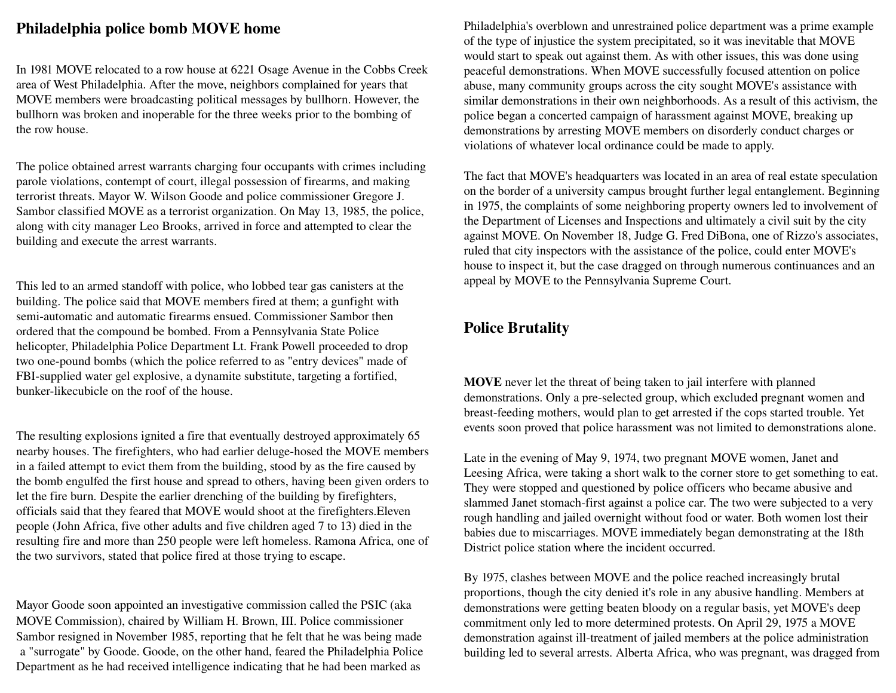#### Philadelphia police bomb MOVE home

In 1981 MOVE relocated to a row house at 6221 Osage Avenue in the Cobbs Creek area of West Philadelphia. After the move, neighbors complained for years that MOVE members were broadcasting political messages by bullhorn. However, the bullhorn was broken and inoperable for the three weeks prior to the bombing of the row house.

The police obtained arrest warrants charging four occupants with crimes including parole violations, contempt of court, illegal possession of firearms, and making terrorist threats. Mayor W. Wilson Goode and police commissioner Gregore J. Sambor classified MOVE as a terrorist organization. On May 13, 1985, the police, along with city manager Leo Brooks, arrived in force and attempted to clear the building and execute the arrest warrants.

This led to an armed standoff with police, who lobbed tear gas canisters at the building. The police said that MOVE members fired at them; a gunfight with semi-automatic and automatic firearms ensued. Commissioner Sambor then ordered that the compound be bombed. From a Pennsylvania State Police helicopter, Philadelphia Police Department Lt. Frank Powell proceeded to drop two one-pound bombs (which the police referred to as "entry devices" made of FBI-supplied water gel explosive, a dynamite substitute, targeting a fortified, bunker-likecubicle on the roof of the house.

The resulting explosions ignited a fire that eventually destroyed approximately 65 nearby houses. The firefighters, who had earlier deluge-hosed the MOVE members in a failed attempt to evict them from the building, stood by as the fire caused by the bomb engulfed the first house and spread to others, having been given orders to let the fire burn. Despite the earlier drenching of the building by firefighters, officials said that they feared that MOVE would shoot at the firefighters.Eleven people (John Africa, five other adults and five children aged 7 to 13) died in the resulting fire and more than 250 people were left homeless. Ramona Africa, one of the two survivors, stated that police fired at those trying to escape.

Mayor Goode soon appointed an investigative commission called the PSIC (aka MOVE Commission), chaired by William H. Brown, III. Police commissioner Sambor resigned in November 1985, reporting that he felt that he was being made a "surrogate" by Goode. Goode, on the other hand, feared the Philadelphia Police Department as he had received intelligence indicating that he had been marked as

Philadelphia's overblown and unrestrained police department was a prime example of the type of injustice the system precipitated, so it was inevitable that MOVE would start to speak out against them. As with other issues, this was done using peaceful demonstrations. When MOVE successfully focused attention on police abuse, many community groups across the city sought MOVE's assistance with similar demonstrations in their own neighborhoods. As a result of this activism, the police began a concerted campaign of harassment against MOVE, breaking up demonstrations by arresting MOVE members on disorderly conduct charges or violations of whatever local ordinance could be made to apply.

The fact that MOVE's headquarters was located in an area of real estate speculation on the border of a university campus brought further legal entanglement. Beginning in 1975, the complaints of some neighboring property owners led to involvement of the Department of Licenses and Inspections and ultimately a civil suit by the city against MOVE. On November 18, Judge G. Fred DiBona, one of Rizzo's associates, ruled that city inspectors with the assistance of the police, could enter MOVE's house to inspect it, but the case dragged on through numerous continuances and an appeal by MOVE to the Pennsylvania Supreme Court.

#### Police Brutality

MOVE never let the threat of being taken to jail interfere with planned demonstrations. Only a pre-selected group, which excluded pregnant women and breast-feeding mothers, would plan to get arrested if the cops started trouble. Yet events soon proved that police harassment was not limited to demonstrations alone.

Late in the evening of May 9, 1974, two pregnant MOVE women, Janet and Leesing Africa, were taking a short walk to the corner store to get something to eat. They were stopped and questioned by police officers who became abusive and slammed Janet stomach-first against a police car. The two were subjected to a very rough handling and jailed overnight without food or water. Both women lost their babies due to miscarriages. MOVE immediately began demonstrating at the 18th District police station where the incident occurred.

By 1975, clashes between MOVE and the police reached increasingly brutal proportions, though the city denied it's role in any abusive handling. Members at demonstrations were getting beaten bloody on a regular basis, yet MOVE's deep commitment only led to more determined protests. On April 29, 1975 a MOVE demonstration against ill-treatment of jailed members at the police administration building led to several arrests. Alberta Africa, who was pregnant, was dragged from